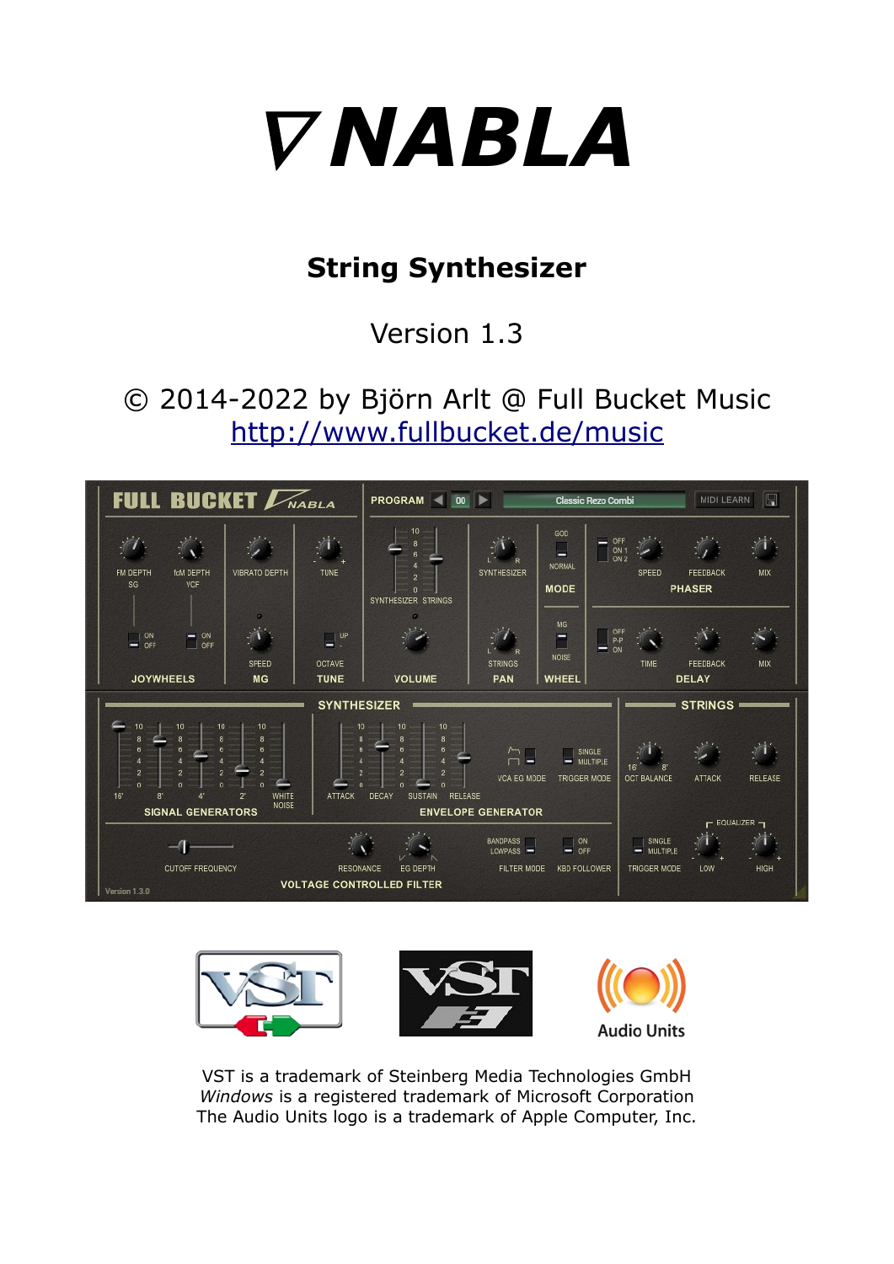

# **String Synthesizer**

Version 1.3

© 2014-2022 by Björn Arlt @ Full Bucket Music <http://www.fullbucket.de/music>





VST is a trademark of Steinberg Media Technologies GmbH *Windows* is a registered trademark of Microsoft Corporation The Audio Units logo is a trademark of Apple Computer, Inc.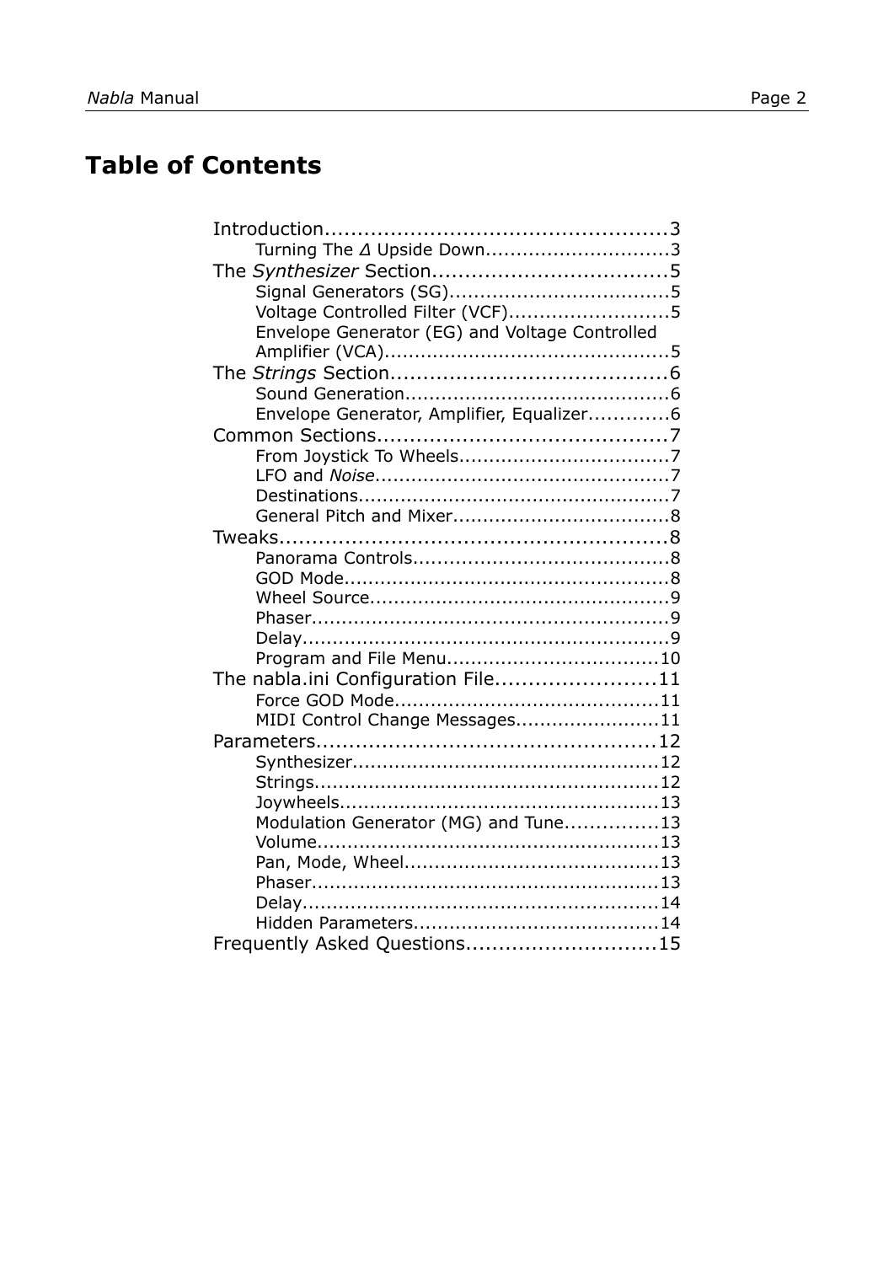# **Table of Contents**

| Turning The 4 Upside Down3                     |  |
|------------------------------------------------|--|
|                                                |  |
|                                                |  |
| Voltage Controlled Filter (VCF)5               |  |
| Envelope Generator (EG) and Voltage Controlled |  |
|                                                |  |
|                                                |  |
|                                                |  |
| Envelope Generator, Amplifier, Equalizer6      |  |
|                                                |  |
|                                                |  |
|                                                |  |
|                                                |  |
|                                                |  |
|                                                |  |
|                                                |  |
|                                                |  |
|                                                |  |
|                                                |  |
|                                                |  |
|                                                |  |
| The nabla.ini Configuration File11             |  |
|                                                |  |
| MIDI Control Change Messages11                 |  |
|                                                |  |
|                                                |  |
|                                                |  |
|                                                |  |
| Modulation Generator (MG) and Tune13           |  |
|                                                |  |
|                                                |  |
|                                                |  |
|                                                |  |
|                                                |  |
| Frequently Asked Questions15                   |  |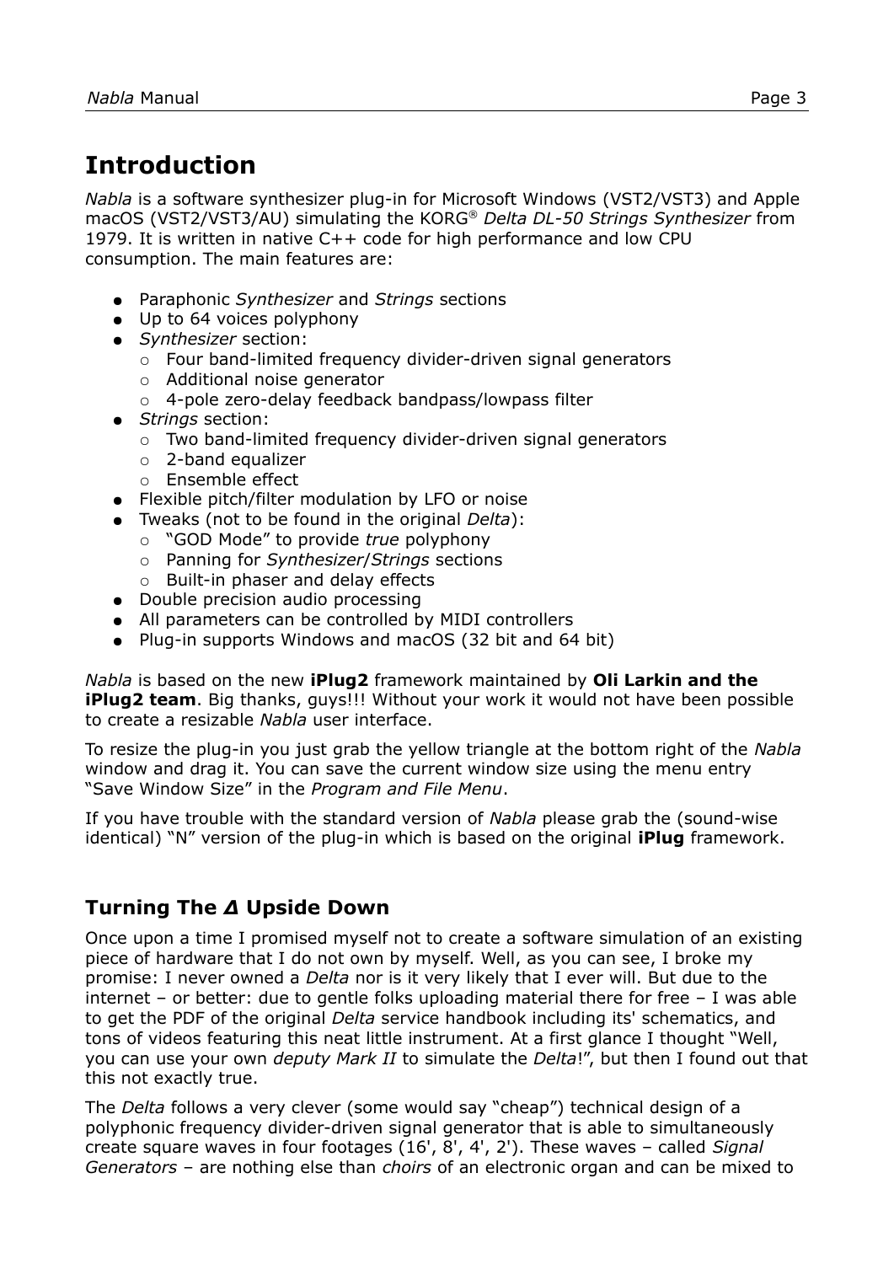# **Introduction**

*Nabla* is a software synthesizer plug-in for Microsoft Windows (VST2/VST3) and Apple macOS (VST2/VST3/AU) simulating the KORG® *Delta DL-50 Strings Synthesizer* from 1979. It is written in native C++ code for high performance and low CPU consumption. The main features are:

- Paraphonic *Synthesizer* and *Strings* sections
- Up to 64 voices polyphony
- *Synthesizer* section:
	- Four band-limited frequency divider-driven signal generators
	- Additional noise generator
	- 4-pole zero-delay feedback bandpass/lowpass filter
- *Strings* section:
	- Two band-limited frequency divider-driven signal generators
	- 2-band equalizer
	- Ensemble effect
- Flexible pitch/filter modulation by LFO or noise
- Tweaks (not to be found in the original *Delta*):
	- "GOD Mode" to provide *true* polyphony
	- Panning for *Synthesizer*/*Strings* sections
	- Built-in phaser and delay effects
- Double precision audio processing
- All parameters can be controlled by MIDI controllers
- Plug-in supports Windows and macOS (32 bit and 64 bit)

*Nabla* is based on the new **iPlug2** framework maintained by **Oli Larkin and the iPlug2 team**. Big thanks, guys!!! Without your work it would not have been possible to create a resizable *Nabla* user interface.

To resize the plug-in you just grab the yellow triangle at the bottom right of the *Nabla* window and drag it. You can save the current window size using the menu entry "Save Window Size" in the *[Program and File Menu](#page-9-0)*.

If you have trouble with the standard version of *Nabla* please grab the (sound-wise identical) "N" version of the plug-in which is based on the original **iPlug** framework.

### **Turning The** *Δ* **Upside Down**

Once upon a time I promised myself not to create a software simulation of an existing piece of hardware that I do not own by myself. Well, as you can see, I broke my promise: I never owned a *Delta* nor is it very likely that I ever will. But due to the internet – or better: due to gentle folks uploading material there for free – I was able to get the PDF of the original *Delta* service handbook including its' schematics, and tons of videos featuring this neat little instrument. At a first glance I thought "Well, you can use your own *deputy Mark II* to simulate the *Delta*!", but then I found out that this not exactly true.

The *Delta* follows a very clever (some would say "cheap") technical design of a polyphonic frequency divider-driven signal generator that is able to simultaneously create square waves in four footages (16', 8', 4', 2'). These waves – called *Signal Generators* – are nothing else than *choirs* of an electronic organ and can be mixed to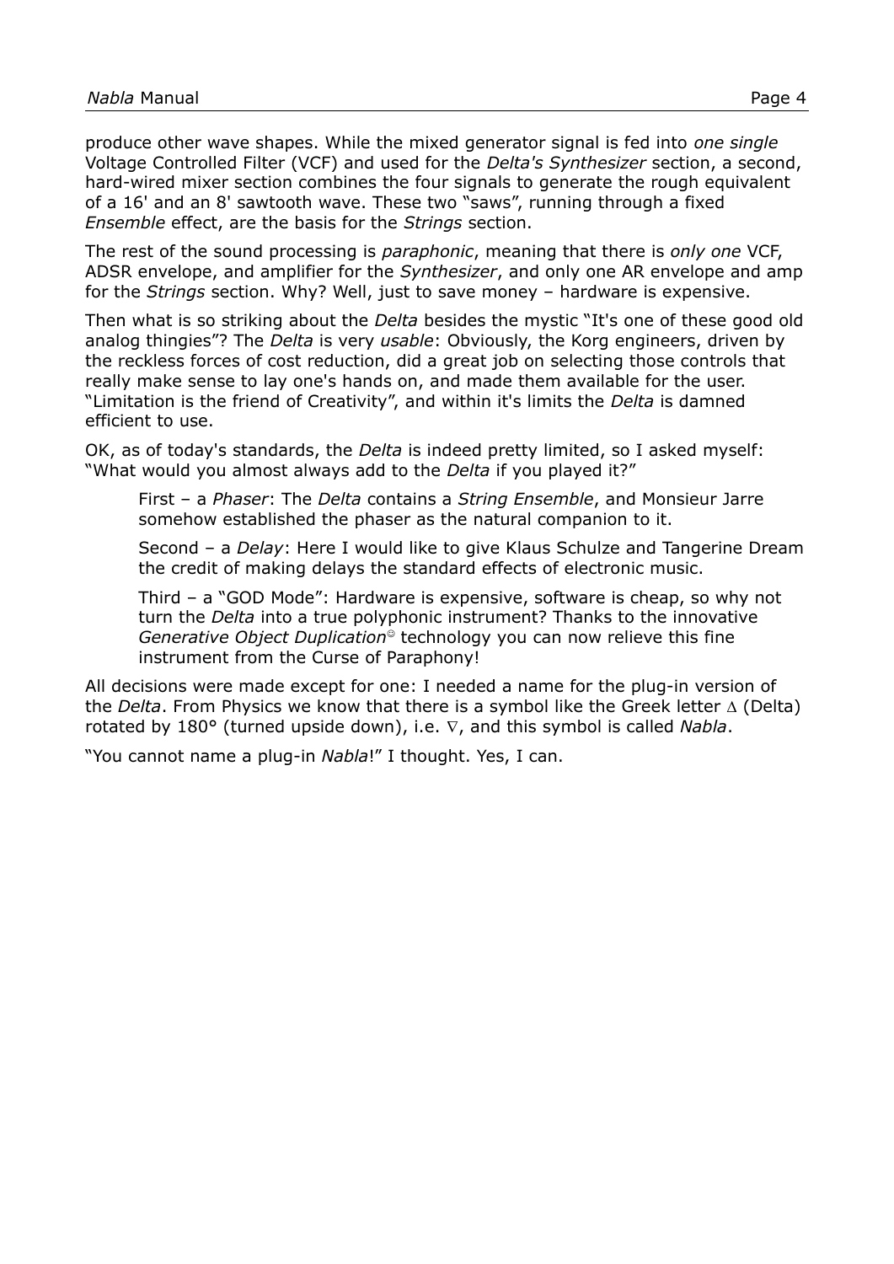produce other wave shapes. While the mixed generator signal is fed into *one single* Voltage Controlled Filter (VCF) and used for the *Delta's Synthesizer* section, a second, hard-wired mixer section combines the four signals to generate the rough equivalent of a 16' and an 8' sawtooth wave. These two "saws", running through a fixed *Ensemble* effect, are the basis for the *Strings* section.

The rest of the sound processing is *paraphonic*, meaning that there is *only one* VCF, ADSR envelope, and amplifier for the *Synthesizer*, and only one AR envelope and amp for the *Strings* section. Why? Well, just to save money – hardware is expensive.

Then what is so striking about the *Delta* besides the mystic "It's one of these good old analog thingies"? The *Delta* is very *usable*: Obviously, the Korg engineers, driven by the reckless forces of cost reduction, did a great job on selecting those controls that really make sense to lay one's hands on, and made them available for the user. "Limitation is the friend of Creativity", and within it's limits the *Delta* is damned efficient to use.

OK, as of today's standards, the *Delta* is indeed pretty limited, so I asked myself: "What would you almost always add to the *Delta* if you played it?"

First – a *Phaser*: The *Delta* contains a *String Ensemble*, and Monsieur Jarre somehow established the phaser as the natural companion to it.

Second – a *Delay*: Here I would like to give Klaus Schulze and Tangerine Dream the credit of making delays the standard effects of electronic music.

Third – a "GOD Mode": Hardware is expensive, software is cheap, so why not turn the *Delta* into a true polyphonic instrument? Thanks to the innovative *Generative Object Duplication*<sup>®</sup> technology you can now relieve this fine instrument from the Curse of Paraphony!

All decisions were made except for one: I needed a name for the plug-in version of the *Delta*. From Physics we know that there is a symbol like the Greek letter  $\Delta$  (Delta) rotated by 180 $^{\circ}$  (turned upside down), i.e.  $\nabla$ , and this symbol is called *Nabla*.

"You cannot name a plug-in *Nabla*!" I thought. Yes, I can.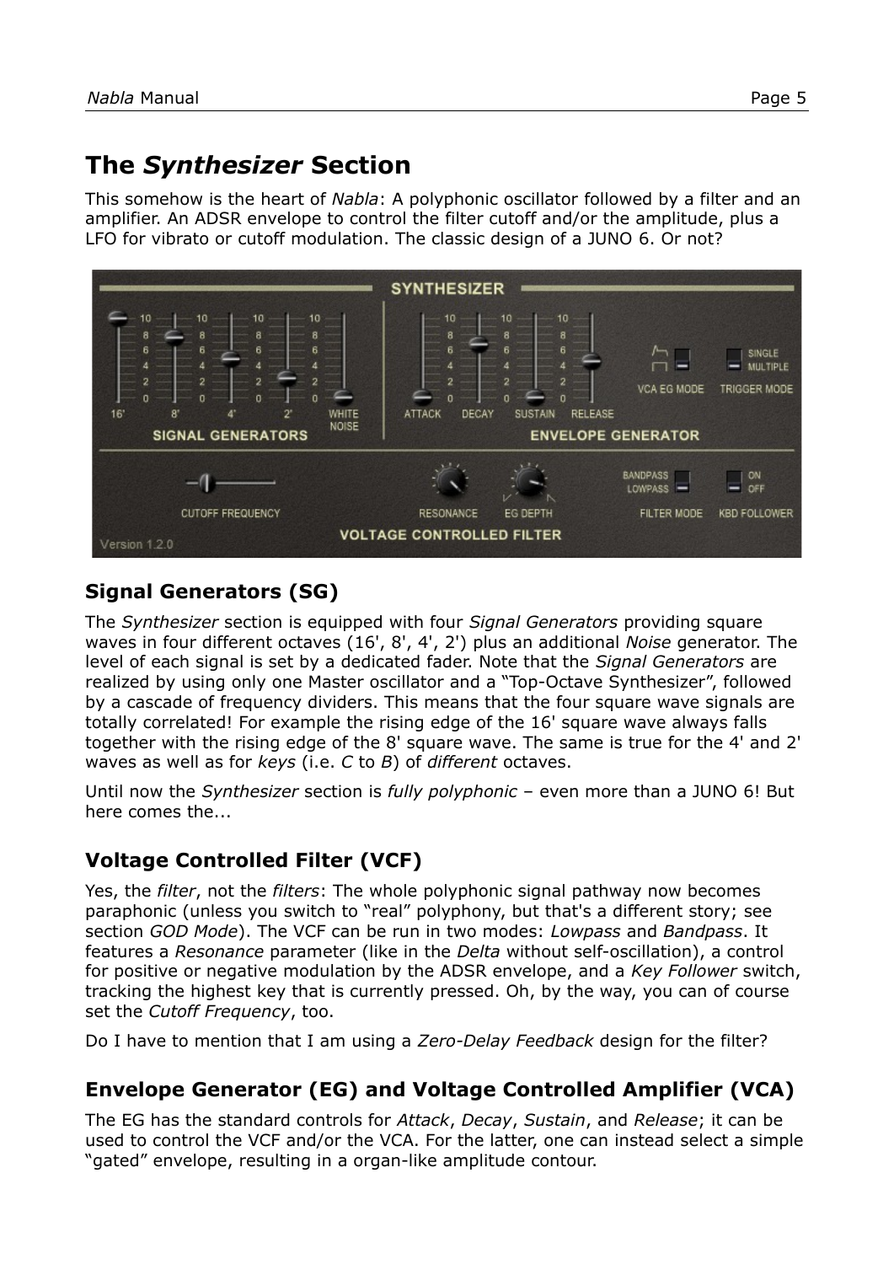# **The** *Synthesizer* **Section**

This somehow is the heart of *Nabla*: A polyphonic oscillator followed by a filter and an amplifier. An ADSR envelope to control the filter cutoff and/or the amplitude, plus a LFO for vibrato or cutoff modulation. The classic design of a JUNO 6. Or not?



# **Signal Generators (SG)**

The *Synthesizer* section is equipped with four *Signal Generators* providing square waves in four different octaves (16', 8', 4', 2') plus an additional *Noise* generator. The level of each signal is set by a dedicated fader. Note that the *Signal Generators* are realized by using only one Master oscillator and a "Top-Octave Synthesizer", followed by a cascade of frequency dividers. This means that the four square wave signals are totally correlated! For example the rising edge of the 16' square wave always falls together with the rising edge of the 8' square wave. The same is true for the 4' and 2' waves as well as for *keys* (i.e. *C* to *B*) of *different* octaves.

Until now the *Synthesizer* section is *fully polyphonic* – even more than a JUNO 6! But here comes the...

## **Voltage Controlled Filter (VCF)**

Yes, the *filter*, not the *filters*: The whole polyphonic signal pathway now becomes paraphonic (unless you switch to "real" polyphony, but that's a different story; see section *[GOD Mode](#page-7-0)*). The VCF can be run in two modes: *Lowpass* and *Bandpass*. It features a *Resonance* parameter (like in the *Delta* without self-oscillation), a control for positive or negative modulation by the ADSR envelope, and a *Key Follower* switch, tracking the highest key that is currently pressed. Oh, by the way, you can of course set the *Cutoff Frequency*, too.

Do I have to mention that I am using a *Zero-Delay Feedback* design for the filter?

## **Envelope Generator (EG) and Voltage Controlled Amplifier (VCA)**

The EG has the standard controls for *Attack*, *Decay*, *Sustain*, and *Release*; it can be used to control the VCF and/or the VCA. For the latter, one can instead select a simple "gated" envelope, resulting in a organ-like amplitude contour.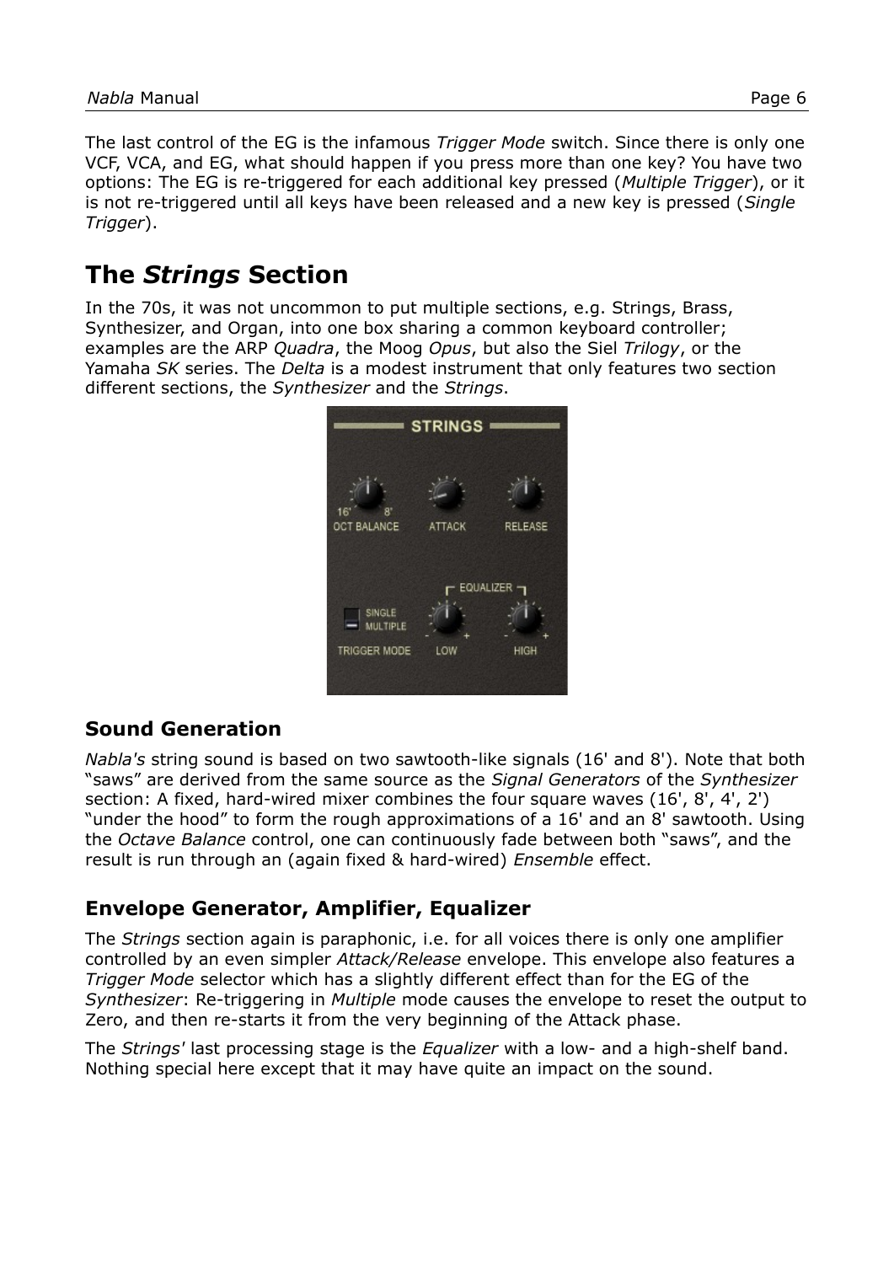The last control of the EG is the infamous *Trigger Mode* switch. Since there is only one VCF, VCA, and EG, what should happen if you press more than one key? You have two options: The EG is re-triggered for each additional key pressed (*Multiple Trigger*), or it is not re-triggered until all keys have been released and a new key is pressed (*Single Trigger*).

# **The** *Strings* **Section**

In the 70s, it was not uncommon to put multiple sections, e.g. Strings, Brass, Synthesizer, and Organ, into one box sharing a common keyboard controller; examples are the ARP *Quadra*, the Moog *Opus*, but also the Siel *Trilogy*, or the Yamaha *SK* series. The *Delta* is a modest instrument that only features two section different sections, the *Synthesizer* and the *Strings*.



## **Sound Generation**

*Nabla's* string sound is based on two sawtooth-like signals (16' and 8'). Note that both "saws" are derived from the same source as the *Signal Generators* of the *Synthesizer* section: A fixed, hard-wired mixer combines the four square waves (16', 8', 4', 2') "under the hood" to form the rough approximations of a 16' and an 8' sawtooth. Using the *Octave Balance* control, one can continuously fade between both "saws", and the result is run through an (again fixed & hard-wired) *Ensemble* effect.

### **Envelope Generator, Amplifier, Equalizer**

The *Strings* section again is paraphonic, i.e. for all voices there is only one amplifier controlled by an even simpler *Attack/Release* envelope. This envelope also features a *Trigger Mode* selector which has a slightly different effect than for the EG of the *Synthesizer*: Re-triggering in *Multiple* mode causes the envelope to reset the output to Zero, and then re-starts it from the very beginning of the Attack phase.

The *Strings'* last processing stage is the *Equalizer* with a low- and a high-shelf band. Nothing special here except that it may have quite an impact on the sound.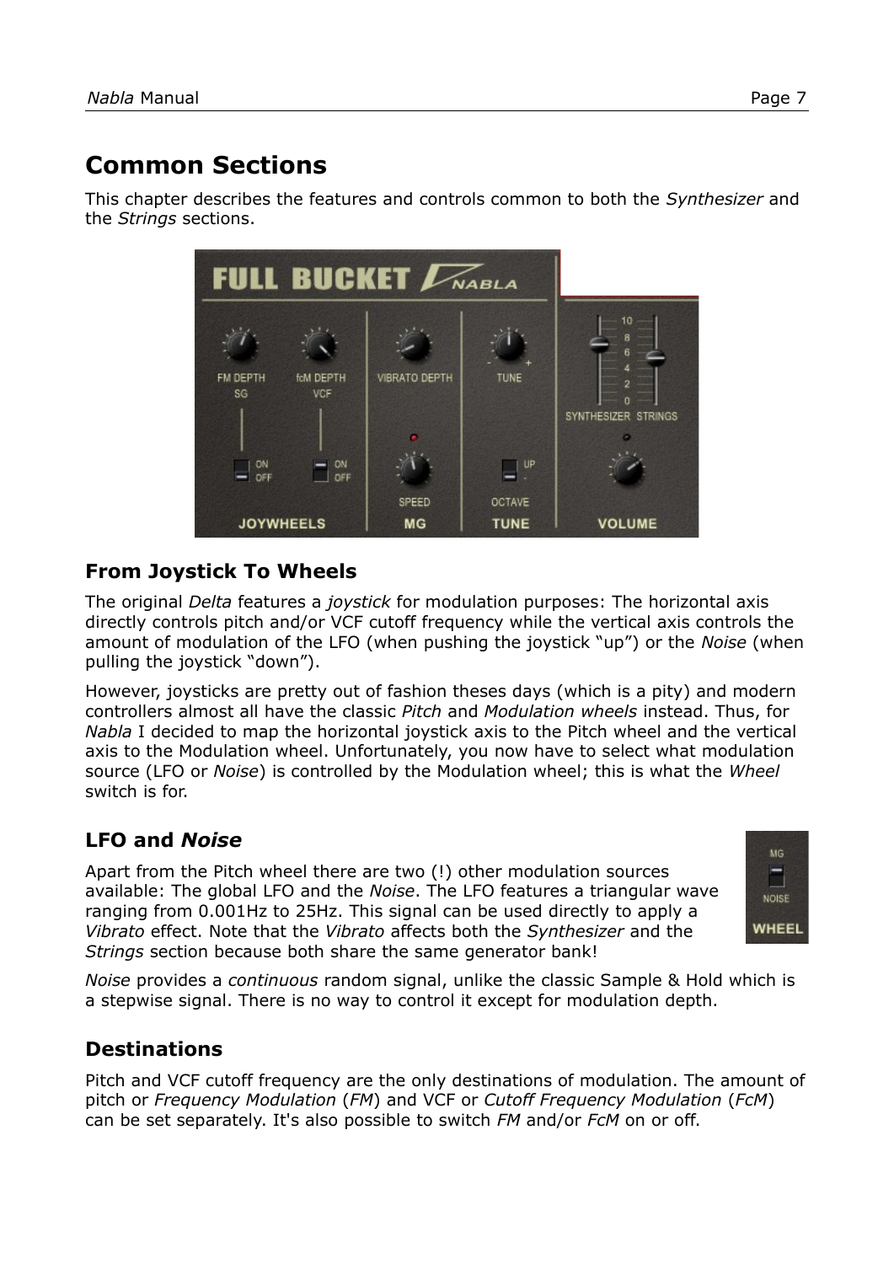# **Common Sections**

This chapter describes the features and controls common to both the *Synthesizer* and the *Strings* sections.



### <span id="page-6-0"></span>**From Joystick To Wheels**

The original *Delta* features a *joystick* for modulation purposes: The horizontal axis directly controls pitch and/or VCF cutoff frequency while the vertical axis controls the amount of modulation of the LFO (when pushing the joystick "up") or the *Noise* (when pulling the joystick "down").

However, joysticks are pretty out of fashion theses days (which is a pity) and modern controllers almost all have the classic *Pitch* and *Modulation wheels* instead. Thus, for *Nabla* I decided to map the horizontal joystick axis to the Pitch wheel and the vertical axis to the Modulation wheel. Unfortunately, you now have to select what modulation source (LFO or *Noise*) is controlled by the Modulation wheel; this is what the *Wheel* switch is for.

## **LFO and** *Noise*

Apart from the Pitch wheel there are two (!) other modulation sources available: The global LFO and the *Noise*. The LFO features a triangular wave ranging from 0.001Hz to 25Hz. This signal can be used directly to apply a *Vibrato* effect. Note that the *Vibrato* affects both the *Synthesizer* and the *Strings* section because both share the same generator bank!



*Noise* provides a *continuous* random signal, unlike the classic Sample & Hold which is a stepwise signal. There is no way to control it except for modulation depth.

## **Destinations**

Pitch and VCF cutoff frequency are the only destinations of modulation. The amount of pitch or *Frequency Modulation* (*FM*) and VCF or *Cutoff Frequency Modulation* (*FcM*) can be set separately. It's also possible to switch *FM* and/or *FcM* on or off.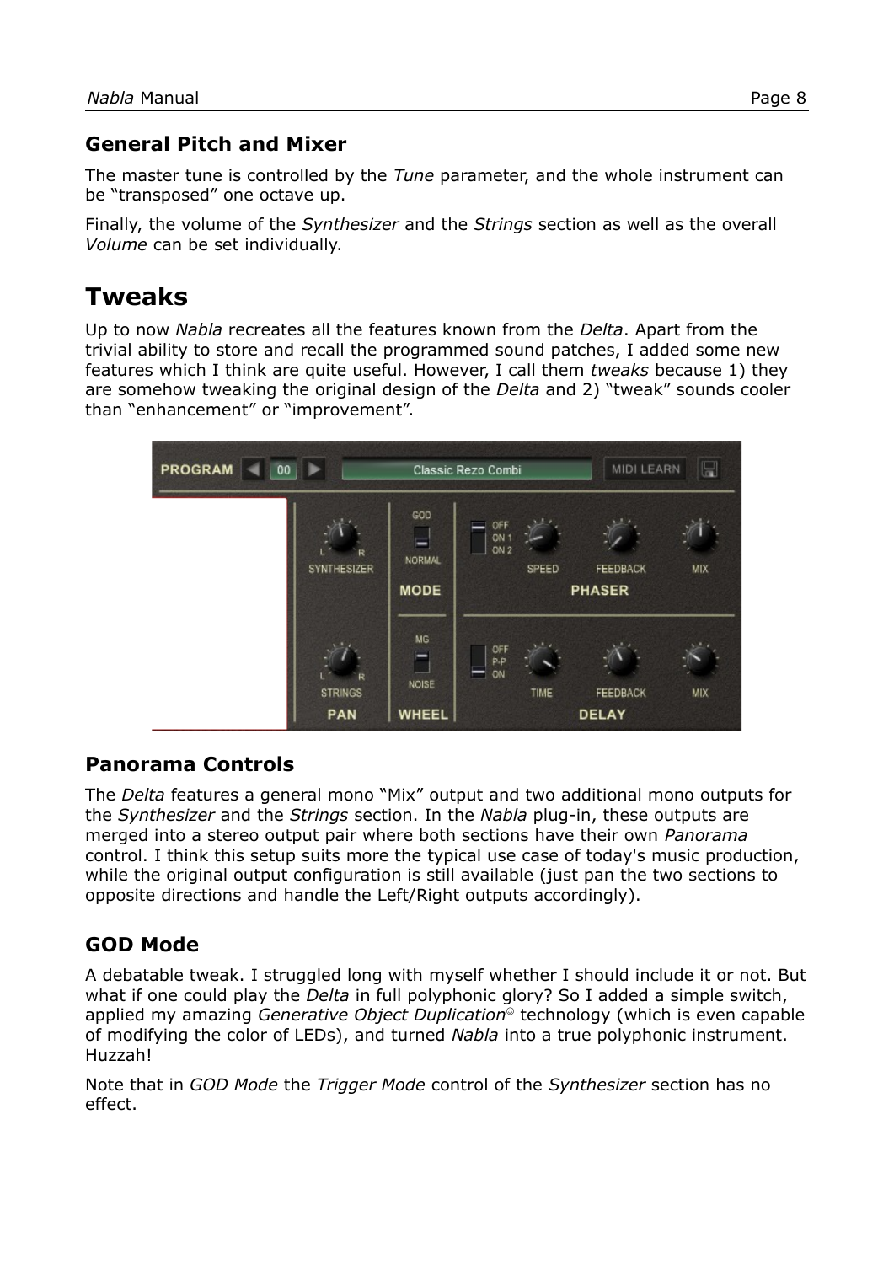### **General Pitch and Mixer**

The master tune is controlled by the *Tune* parameter, and the whole instrument can be "transposed" one octave up.

Finally, the volume of the *Synthesizer* and the *Strings* section as well as the overall *Volume* can be set individually.

# **Tweaks**

Up to now *Nabla* recreates all the features known from the *Delta*. Apart from the trivial ability to store and recall the programmed sound patches, I added some new features which I think are quite useful. However, I call them *tweaks* because 1) they are somehow tweaking the original design of the *Delta* and 2) "tweak" sounds cooler than "enhancement" or "improvement".



### **Panorama Controls**

The *Delta* features a general mono "Mix" output and two additional mono outputs for the *Synthesizer* and the *Strings* section. In the *Nabla* plug-in, these outputs are merged into a stereo output pair where both sections have their own *Panorama* control. I think this setup suits more the typical use case of today's music production, while the original output configuration is still available (just pan the two sections to opposite directions and handle the Left/Right outputs accordingly).

## <span id="page-7-0"></span>**GOD Mode**

A debatable tweak. I struggled long with myself whether I should include it or not. But what if one could play the *Delta* in full polyphonic glory? So I added a simple switch, applied my amazing *Generative Object Duplication* technology (which is even capable of modifying the color of LEDs), and turned *Nabla* into a true polyphonic instrument. Huzzah!

Note that in *GOD Mode* the *Trigger Mode* control of the *Synthesizer* section has no effect.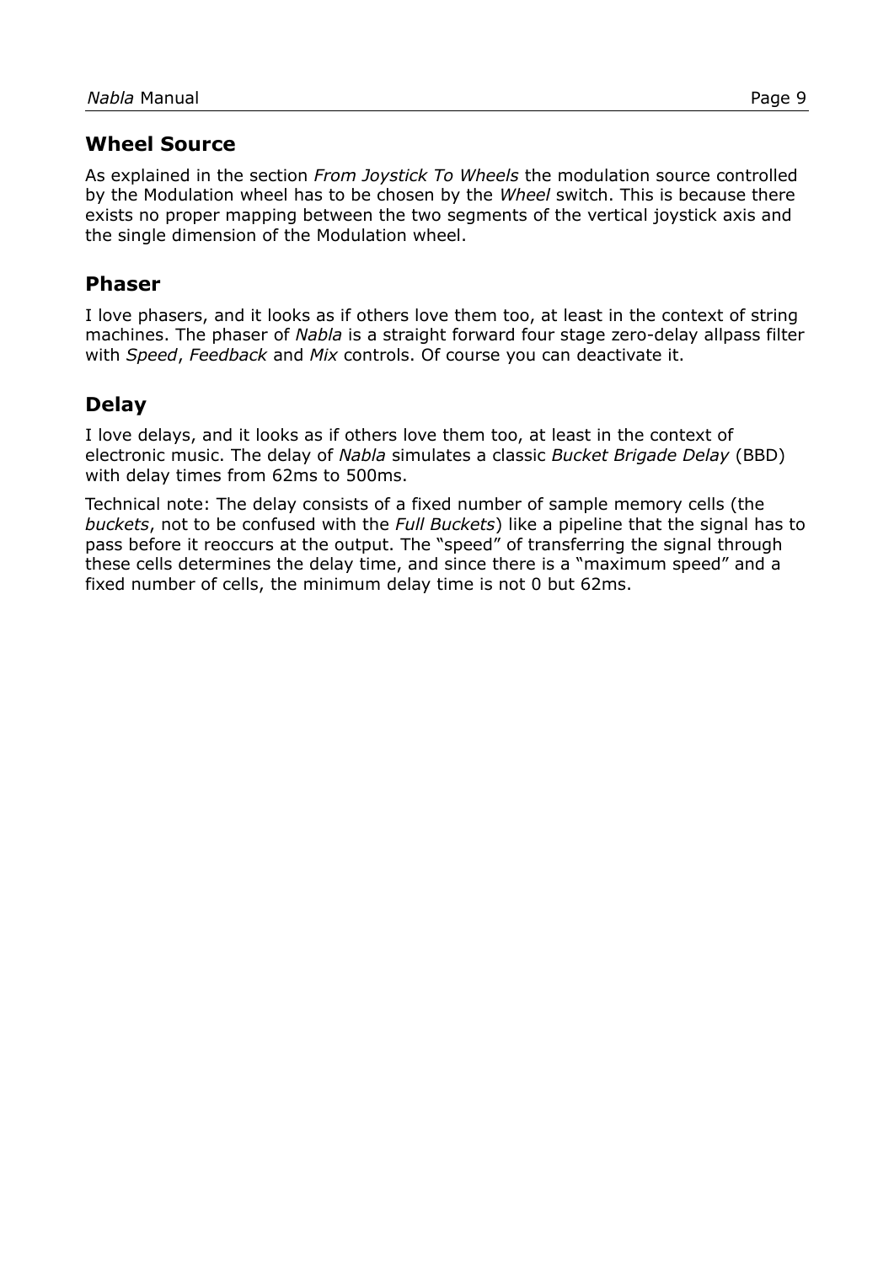#### **Wheel Source**

As explained in the section *[From Joystick To Wheels](#page-6-0)* the modulation source controlled by the Modulation wheel has to be chosen by the *Wheel* switch. This is because there exists no proper mapping between the two segments of the vertical joystick axis and the single dimension of the Modulation wheel.

#### **Phaser**

I love phasers, and it looks as if others love them too, at least in the context of string machines. The phaser of *Nabla* is a straight forward four stage zero-delay allpass filter with *Speed*, *Feedback* and *Mix* controls. Of course you can deactivate it.

### **Delay**

I love delays, and it looks as if others love them too, at least in the context of electronic music. The delay of *Nabla* simulates a classic *Bucket Brigade Delay* (BBD) with delay times from 62ms to 500ms.

Technical note: The delay consists of a fixed number of sample memory cells (the *buckets*, not to be confused with the *Full Buckets*) like a pipeline that the signal has to pass before it reoccurs at the output. The "speed" of transferring the signal through these cells determines the delay time, and since there is a "maximum speed" and a fixed number of cells, the minimum delay time is not 0 but 62ms.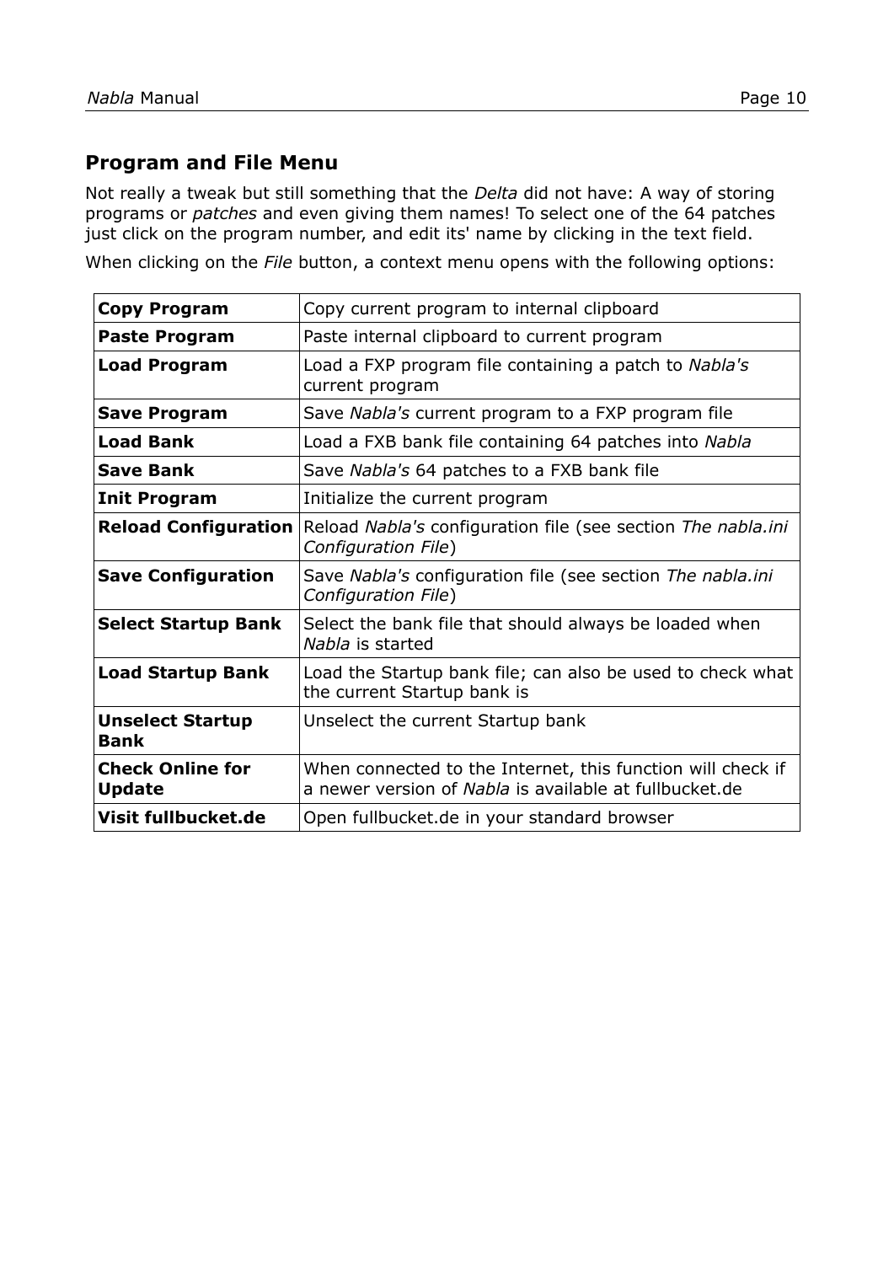#### <span id="page-9-0"></span>**Program and File Menu**

Not really a tweak but still something that the *Delta* did not have: A way of storing programs or *patches* and even giving them names! To select one of the 64 patches just click on the program number, and edit its' name by clicking in the text field.

When clicking on the *File* button, a context menu opens with the following options:

| <b>Copy Program</b>                      | Copy current program to internal clipboard                                                                            |
|------------------------------------------|-----------------------------------------------------------------------------------------------------------------------|
| <b>Paste Program</b>                     | Paste internal clipboard to current program                                                                           |
| <b>Load Program</b>                      | Load a FXP program file containing a patch to Nabla's<br>current program                                              |
| <b>Save Program</b>                      | Save Nabla's current program to a FXP program file                                                                    |
| <b>Load Bank</b>                         | Load a FXB bank file containing 64 patches into Nabla                                                                 |
| <b>Save Bank</b>                         | Save Nabla's 64 patches to a FXB bank file                                                                            |
| <b>Init Program</b>                      | Initialize the current program                                                                                        |
| <b>Reload Configuration</b>              | Reload Nabla's configuration file (see section The nabla.ini<br>Configuration File)                                   |
| <b>Save Configuration</b>                | Save Nabla's configuration file (see section The nabla.ini<br>Configuration File)                                     |
| <b>Select Startup Bank</b>               | Select the bank file that should always be loaded when<br>Nabla is started                                            |
| <b>Load Startup Bank</b>                 | Load the Startup bank file; can also be used to check what<br>the current Startup bank is                             |
| <b>Unselect Startup</b><br><b>Bank</b>   | Unselect the current Startup bank                                                                                     |
| <b>Check Online for</b><br><b>Update</b> | When connected to the Internet, this function will check if<br>a newer version of Nabla is available at fullbucket.de |
| Visit fullbucket.de                      | Open fullbucket.de in your standard browser                                                                           |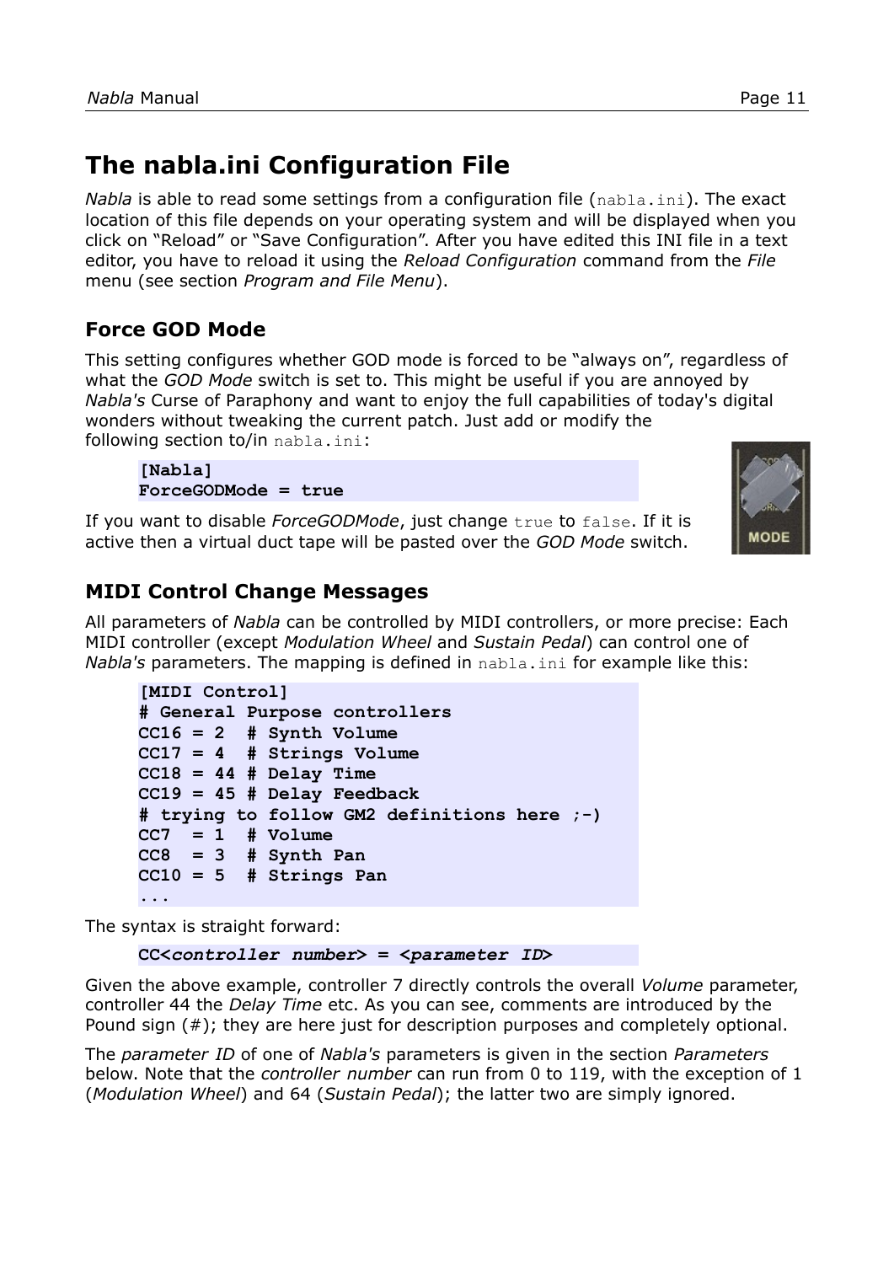# <span id="page-10-0"></span>**The nabla.ini Configuration File**

*Nabla* is able to read some settings from a configuration file (nabla.ini). The exact location of this file depends on your operating system and will be displayed when you click on "Reload" or "Save Configuration". After you have edited this INI file in a text editor, you have to reload it using the *Reload Configuration* command from the *File* menu (see section *[Program and File Menu](#page-9-0)*).

# **Force GOD Mode**

This setting configures whether GOD mode is forced to be "always on", regardless of what the *GOD Mode* switch is set to. This might be useful if you are annoyed by *Nabla's* Curse of Paraphony and want to enjoy the full capabilities of today's digital wonders without tweaking the current patch. Just add or modify the following section to/in nabla.ini:

**[Nabla] ForceGODMode = true**

If you want to disable *ForceGODMode*, just change true to false. If it is active then a virtual duct tape will be pasted over the *GOD Mode* switch.



## **MIDI Control Change Messages**

All parameters of *Nabla* can be controlled by MIDI controllers, or more precise: Each MIDI controller (except *Modulation Wheel* and *Sustain Pedal*) can control one of *Nabla's* parameters. The mapping is defined in nabla.ini for example like this:

```
[MIDI Control]
# General Purpose controllers
CC16 = 2 # Synth Volume
CC17 = 4 # Strings Volume
CC18 = 44 # Delay Time
CC19 = 45 # Delay Feedback
# trying to follow GM2 definitions here ;-)
CC7 = 1 # Volume
CC8 = 3 # Synth Pan
CC10 = 5 # Strings Pan
...
```
The syntax is straight forward:

```
CC<controller number> = <parameter ID>
```
Given the above example, controller 7 directly controls the overall *Volume* parameter, controller 44 the *Delay Time* etc. As you can see, comments are introduced by the Pound sign (#); they are here just for description purposes and completely optional.

The *parameter ID* of one of *Nabla's* parameters is given in the section *[Parameters](#page-11-0)* below. Note that the *controller number* can run from 0 to 119, with the exception of 1 (*Modulation Wheel*) and 64 (*Sustain Pedal*); the latter two are simply ignored.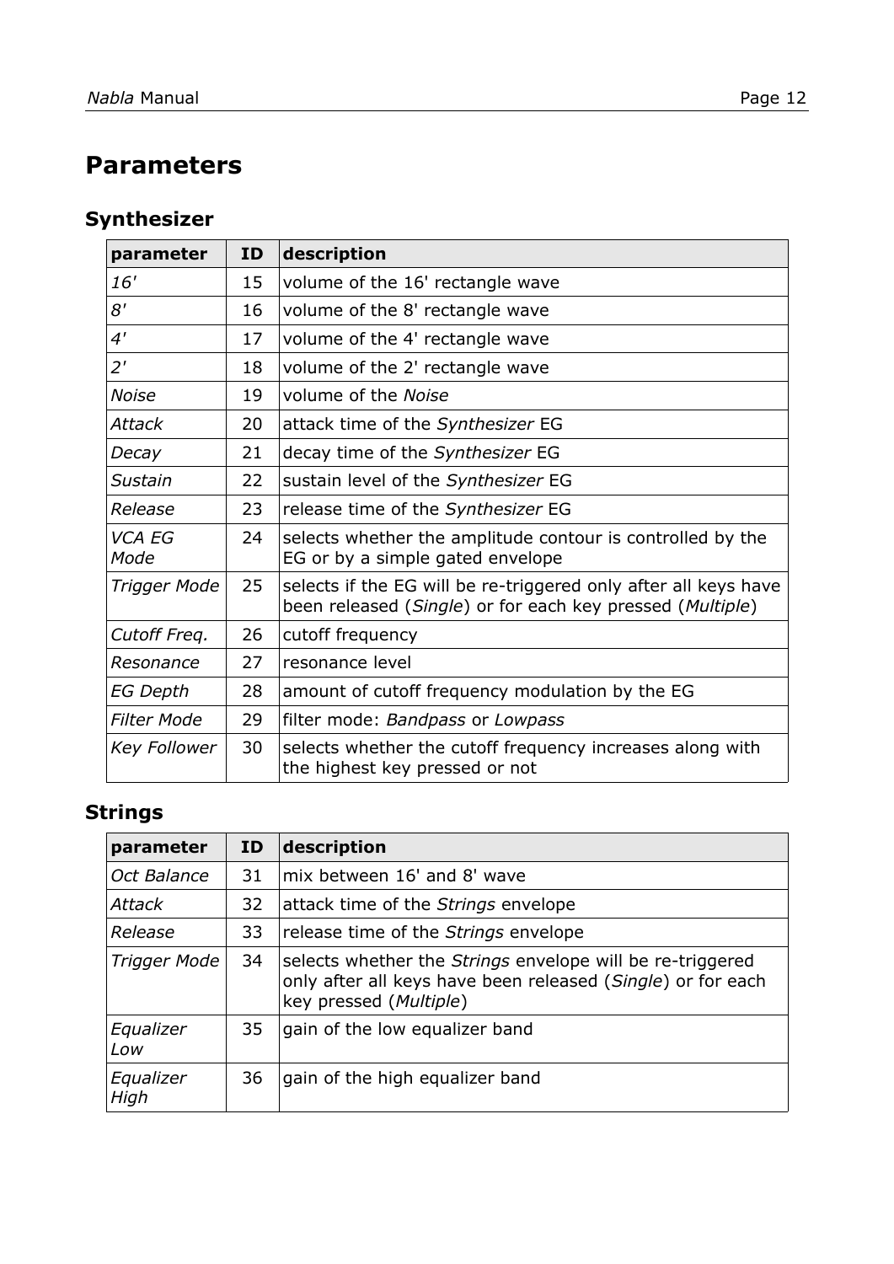# <span id="page-11-0"></span>**Parameters**

# **Synthesizer**

| parameter       | <b>ID</b> | description                                                                                                                  |
|-----------------|-----------|------------------------------------------------------------------------------------------------------------------------------|
| 16'             | 15        | volume of the 16' rectangle wave                                                                                             |
| 8'              | 16        | volume of the 8' rectangle wave                                                                                              |
| 4'              | 17        | volume of the 4' rectangle wave                                                                                              |
| 2'              | 18        | volume of the 2' rectangle wave                                                                                              |
| Noise           | 19        | volume of the Noise                                                                                                          |
| Attack          | 20        | attack time of the Synthesizer EG                                                                                            |
| Decay           | 21        | decay time of the Synthesizer EG                                                                                             |
| Sustain         | 22        | sustain level of the Synthesizer EG                                                                                          |
| Release         | 23        | release time of the Synthesizer EG                                                                                           |
| VCA EG<br>Mode  | 24        | selects whether the amplitude contour is controlled by the<br>EG or by a simple gated envelope                               |
| Trigger Mode    | 25        | selects if the EG will be re-triggered only after all keys have<br>been released (Single) or for each key pressed (Multiple) |
| Cutoff Freq.    | 26        | cutoff frequency                                                                                                             |
| Resonance       | 27        | resonance level                                                                                                              |
| <b>EG Depth</b> | 28        | amount of cutoff frequency modulation by the EG                                                                              |
| Filter Mode     | 29        | filter mode: Bandpass or Lowpass                                                                                             |
| Key Follower    | 30        | selects whether the cutoff frequency increases along with<br>the highest key pressed or not                                  |

# **Strings**

| parameter         | ID | description                                                                                                                                        |
|-------------------|----|----------------------------------------------------------------------------------------------------------------------------------------------------|
| Oct Balance       | 31 | mix between 16' and 8' wave                                                                                                                        |
| <b>Attack</b>     | 32 | attack time of the Strings envelope                                                                                                                |
| Release           | 33 | release time of the Strings envelope                                                                                                               |
| Trigger Mode      | 34 | selects whether the Strings envelope will be re-triggered<br>only after all keys have been released (Single) or for each<br>key pressed (Multiple) |
| Equalizer<br>Low  | 35 | gain of the low equalizer band                                                                                                                     |
| Equalizer<br>High | 36 | gain of the high equalizer band                                                                                                                    |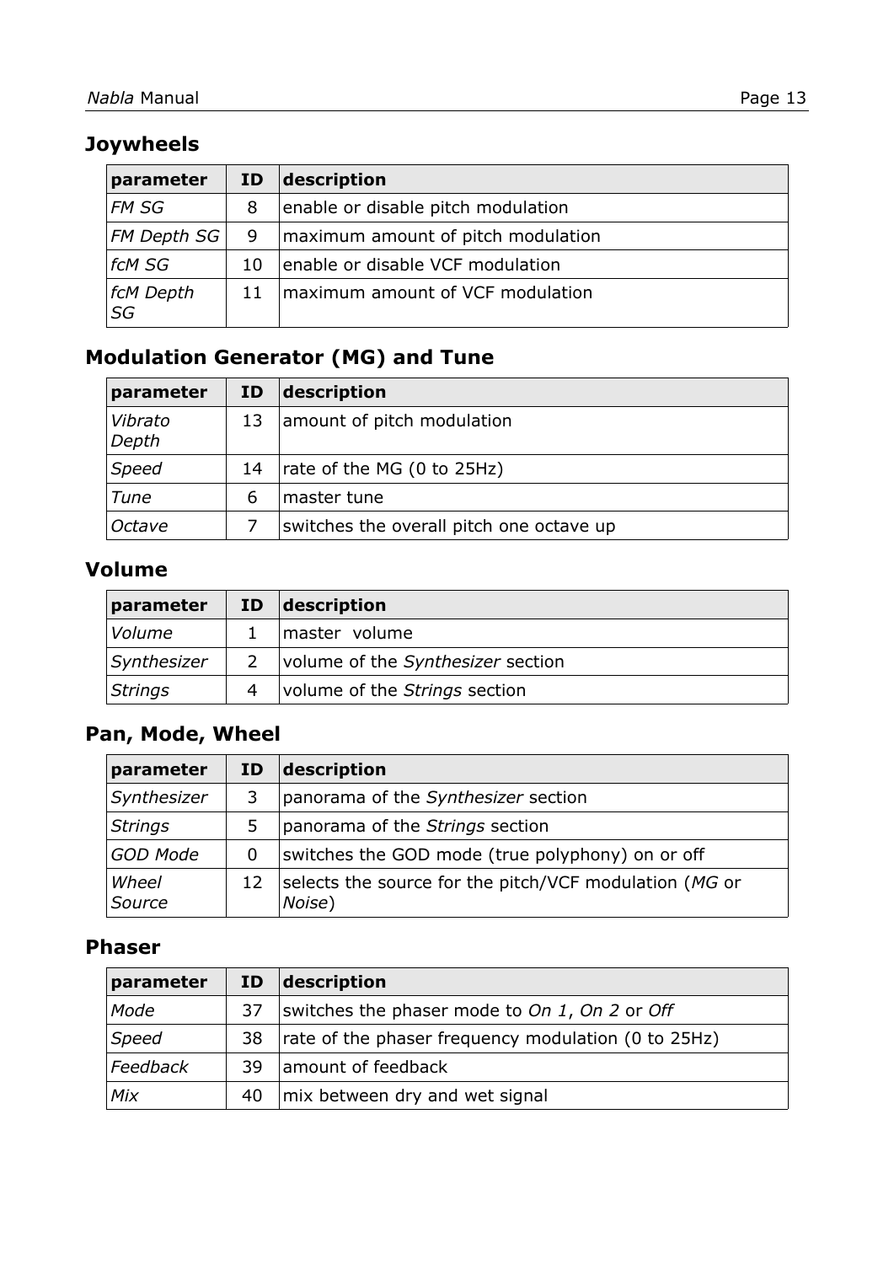# **Joywheels**

| parameter         | ID | description                        |
|-------------------|----|------------------------------------|
| FM SG             | 8  | enable or disable pitch modulation |
| $FM$ Depth SG $ $ | 9  | maximum amount of pitch modulation |
| fcM SG            | 10 | enable or disable VCF modulation   |
| fcM Depth<br>SG   | 11 | maximum amount of VCF modulation   |

# **Modulation Generator (MG) and Tune**

| parameter        | ID | description                              |
|------------------|----|------------------------------------------|
| Vibrato<br>Depth | 13 | amount of pitch modulation               |
| <b>Speed</b>     | 14 | rate of the MG (0 to 25Hz)               |
| Tune             | 6  | master tune                              |
| Octave           |    | switches the overall pitch one octave up |

# **Volume**

| parameter   | ID | description                       |
|-------------|----|-----------------------------------|
| Volume      |    | master volume                     |
| Synthesizer |    | volume of the Synthesizer section |
| Strings     |    | volume of the Strings section     |

# **Pan, Mode, Wheel**

| parameter       | ID | description                                                      |
|-----------------|----|------------------------------------------------------------------|
| Synthesizer     |    | panorama of the Synthesizer section                              |
| <b>Strings</b>  | 5  | panorama of the Strings section                                  |
| <b>GOD Mode</b> | 0  | switches the GOD mode (true polyphony) on or off                 |
| Wheel<br>Source | 12 | selects the source for the pitch/VCF modulation (MG or<br>Noise) |

### **Phaser**

| parameter | ID <sub>1</sub> | $\vert$ description                                 |
|-----------|-----------------|-----------------------------------------------------|
| Mode      | 37              | switches the phaser mode to On 1, On 2 or Off       |
| Speed     | 38              | rate of the phaser frequency modulation (0 to 25Hz) |
| Feedback  | 39.             | amount of feedback                                  |
| Mix       | 40              | mix between dry and wet signal                      |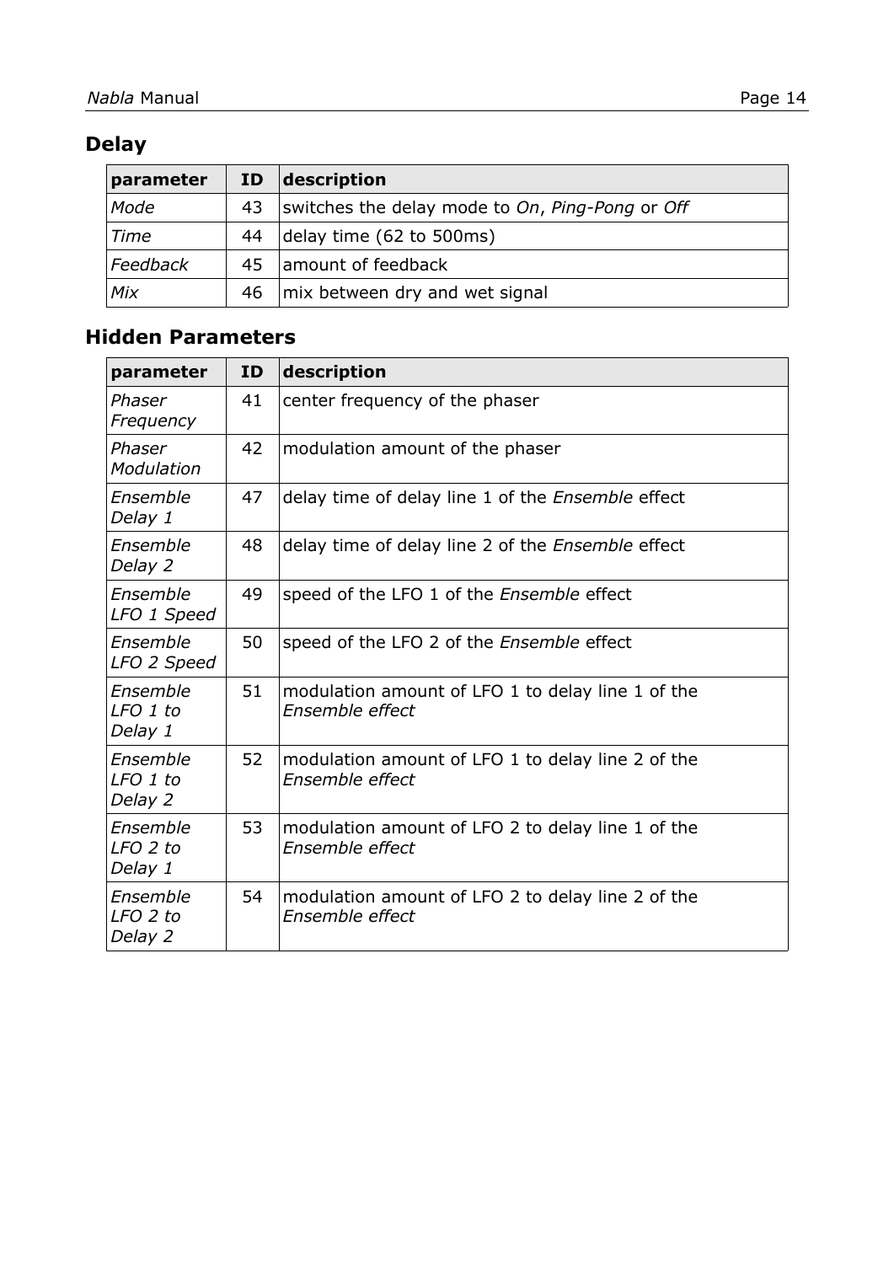# **Delay**

| parameter | <b>ID</b> | $\vert$ description                             |
|-----------|-----------|-------------------------------------------------|
| Mode      | 43        | switches the delay mode to On, Ping-Pong or Off |
| Time      | 44        | delay time (62 to 500ms)                        |
| Feedback  | 45        | amount of feedback                              |
| Mix       | 46        | mix between dry and wet signal                  |

### **Hidden Parameters**

| parameter                       | ID | description                                                          |
|---------------------------------|----|----------------------------------------------------------------------|
| Phaser<br>Frequency             | 41 | center frequency of the phaser                                       |
| Phaser<br>Modulation            | 42 | modulation amount of the phaser                                      |
| Ensemble<br>Delay 1             | 47 | delay time of delay line 1 of the Ensemble effect                    |
| Ensemble<br>Delay 2             | 48 | delay time of delay line 2 of the <i>Ensemble</i> effect             |
| Ensemble<br>LFO 1 Speed         | 49 | speed of the LFO 1 of the Ensemble effect                            |
| Ensemble<br>LFO 2 Speed         | 50 | speed of the LFO 2 of the Ensemble effect                            |
| Ensemble<br>LFO 1 to<br>Delay 1 | 51 | modulation amount of LFO 1 to delay line 1 of the<br>Ensemble effect |
| Ensemble<br>LFO 1 to<br>Delay 2 | 52 | modulation amount of LFO 1 to delay line 2 of the<br>Ensemble effect |
| Ensemble<br>LFO 2 to<br>Delay 1 | 53 | modulation amount of LFO 2 to delay line 1 of the<br>Ensemble effect |
| Ensemble<br>LFO 2 to<br>Delay 2 | 54 | modulation amount of LFO 2 to delay line 2 of the<br>Ensemble effect |